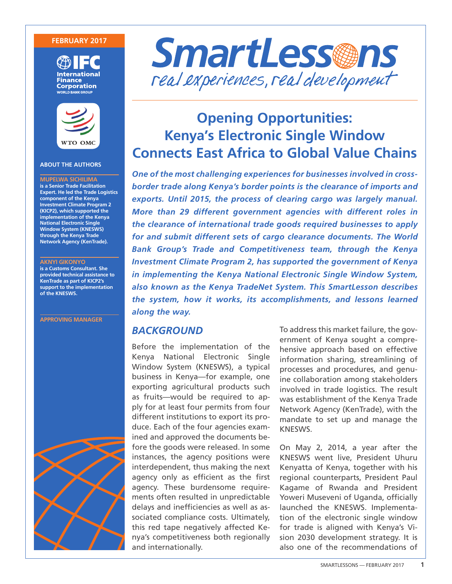#### **FEBRUARY 2017**





#### **ABOUT THE AUTHORS**

**MUPELWA SICHILIMA is a Senior Trade Facilitation Expert. He led the Trade Logistics component of the Kenya Investment Climate Program 2 (KICP2), which supported the implementation of the Kenya National Electronic Single Window System (KNESWS) through the Kenya Trade Network Agency (KenTrade).**

#### **AKNYI GIKONYO**

**is a Customs Consultant. She provided technical assistance to KenTrade as part of KICP2's support to the implementation of the KNESWS.**

**APPROVING MANAGER**





# **Opening Opportunities: Kenya's Electronic Single Window Connects East Africa to Global Value Chains**

*One of the most challenging experiences for businesses involved in crossborder trade along Kenya's border points is the clearance of imports and exports. Until 2015, the process of clearing cargo was largely manual. More than 29 different government agencies with different roles in the clearance of international trade goods required businesses to apply for and submit different sets of cargo clearance documents. The World Bank Group's Trade and Competitiveness team, through the Kenya Investment Climate Program 2, has supported the government of Kenya in implementing the Kenya National Electronic Single Window System, also known as the Kenya TradeNet System. This SmartLesson describes the system, how it works, its accomplishments, and lessons learned along the way.*

### *BACKGROUND*

Before the implementation of the Kenya National Electronic Single Window System (KNESWS), a typical business in Kenya—for example, one exporting agricultural products such as fruits—would be required to apply for at least four permits from four different institutions to export its produce. Each of the four agencies examined and approved the documents before the goods were released. In some instances, the agency positions were interdependent, thus making the next agency only as efficient as the first agency. These burdensome requirements often resulted in unpredictable delays and inefficiencies as well as associated compliance costs. Ultimately, this red tape negatively affected Kenya's competitiveness both regionally and internationally.

To address this market failure, the government of Kenya sought a comprehensive approach based on effective information sharing, streamlining of processes and procedures, and genuine collaboration among stakeholders involved in trade logistics. The result was establishment of the Kenya Trade Network Agency (KenTrade), with the mandate to set up and manage the KNESWS.

On May 2, 2014, a year after the KNESWS went live, President Uhuru Kenyatta of Kenya, together with his regional counterparts, President Paul Kagame of Rwanda and President Yoweri Museveni of Uganda, officially launched the KNESWS. Implementation of the electronic single window for trade is aligned with Kenya's Vision 2030 development strategy. It is also one of the recommendations of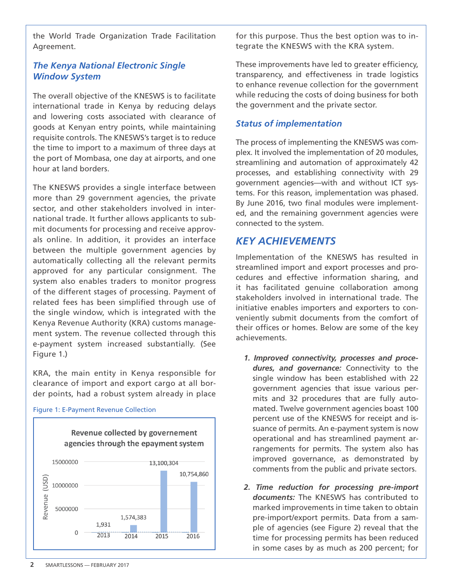the World Trade Organization Trade Facilitation Agreement.

# *The Kenya National Electronic Single Window System*

The overall objective of the KNESWS is to facilitate international trade in Kenya by reducing delays and lowering costs associated with clearance of goods at Kenyan entry points, while maintaining requisite controls. The KNESWS's target is to reduce the time to import to a maximum of three days at the port of Mombasa, one day at airports, and one hour at land borders.

The KNESWS provides a single interface between more than 29 government agencies, the private sector, and other stakeholders involved in international trade. It further allows applicants to submit documents for processing and receive approvals online. In addition, it provides an interface between the multiple government agencies by automatically collecting all the relevant permits approved for any particular consignment. The system also enables traders to monitor progress of the different stages of processing. Payment of related fees has been simplified through use of the single window, which is integrated with the Kenya Revenue Authority (KRA) customs management system. The revenue collected through this e-payment system increased substantially. (See Figure 1.)

KRA, the main entity in Kenya responsible for clearance of import and export cargo at all border points, had a robust system already in place



#### Figure 1: E-Payment Revenue Collection

for this purpose. Thus the best option was to integrate the KNESWS with the KRA system.

These improvements have led to greater efficiency, transparency, and effectiveness in trade logistics to enhance revenue collection for the government while reducing the costs of doing business for both the government and the private sector.

## *Status of implementation*

The process of implementing the KNESWS was complex. It involved the implementation of 20 modules, streamlining and automation of approximately 42 processes, and establishing connectivity with 29 government agencies—with and without ICT systems. For this reason, implementation was phased. By June 2016, two final modules were implemented, and the remaining government agencies were connected to the system.

# *KEY ACHIEVEMENTS*

Implementation of the KNESWS has resulted in streamlined import and export processes and procedures and effective information sharing, and it has facilitated genuine collaboration among stakeholders involved in international trade. The initiative enables importers and exporters to conveniently submit documents from the comfort of their offices or homes. Below are some of the key achievements.

- *1. Improved connectivity, processes and procedures, and governance:* Connectivity to the single window has been established with 22 government agencies that issue various permits and 32 procedures that are fully automated. Twelve government agencies boast 100 percent use of the KNESWS for receipt and issuance of permits. An e-payment system is now operational and has streamlined payment arrangements for permits. The system also has improved governance, as demonstrated by comments from the public and private sectors.
- *2. Time reduction for processing pre-import documents:* The KNESWS has contributed to marked improvements in time taken to obtain pre-import/export permits. Data from a sample of agencies (see Figure 2) reveal that the time for processing permits has been reduced in some cases by as much as 200 percent; for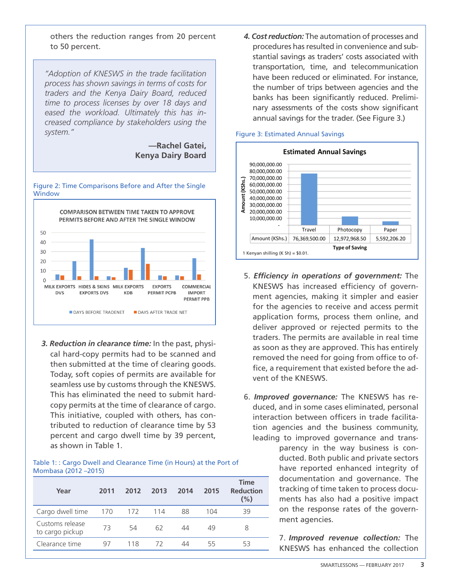others the reduction ranges from 20 percent to 50 percent.

*"Adoption of KNESWS in the trade facilitation process has shown savings in terms of costs for traders and the Kenya Dairy Board, reduced time to process licenses by over 18 days and eased the workload. Ultimately this has increased compliance by stakeholders using the system."*

> **—Rachel Gatei, Kenya Dairy Board**

#### Figure 2: Time Comparisons Before and After the Single **Window**



*3. Reduction in clearance time:* In the past, physical hard-copy permits had to be scanned and then submitted at the time of clearing goods. Today, soft copies of permits are available for seamless use by customs through the KNESWS. This has eliminated the need to submit hardcopy permits at the time of clearance of cargo. This initiative, coupled with others, has contributed to reduction of clearance time by 53 percent and cargo dwell time by 39 percent, as shown in Table 1.

#### Table 1: : Cargo Dwell and Clearance Time (in Hours) at the Port of Mombasa (2012 –2015)

| Year                               | 2011 | 2012 | 2013 | 2014 | 2015 | <b>Time</b><br><b>Reduction</b><br>(%) |
|------------------------------------|------|------|------|------|------|----------------------------------------|
| Cargo dwell time                   | 170  | 172  | 114  | 88   | 104  | 39                                     |
| Customs release<br>to cargo pickup | 73   | 54   | 62   | 44   | 49   | 8                                      |
| Clearance time                     | 97   | 118  | 72   | 44   | 55   | っく                                     |

*4. Cost reduction:* The automation of processes and procedures has resulted in convenience and substantial savings as traders' costs associated with transportation, time, and telecommunication have been reduced or eliminated. For instance, the number of trips between agencies and the banks has been significantly reduced. Preliminary assessments of the costs show significant annual savings for the trader. (See Figure 3.)

# Figure 3: Estimated Annual Savings



- 5. *Efficiency in operations of government:* The KNESWS has increased efficiency of government agencies, making it simpler and easier for the agencies to receive and access permit application forms, process them online, and deliver approved or rejected permits to the traders. The permits are available in real time as soon as they are approved. This has entirely removed the need for going from office to office, a requirement that existed before the advent of the KNESWS.
- 6. *Improved governance:* The KNESWS has reduced, and in some cases eliminated, personal interaction between officers in trade facilitation agencies and the business community, leading to improved governance and trans-

parency in the way business is conducted. Both public and private sectors have reported enhanced integrity of documentation and governance. The tracking of time taken to process documents has also had a positive impact on the response rates of the government agencies.

7. *Improved revenue collection:* The KNESWS has enhanced the collection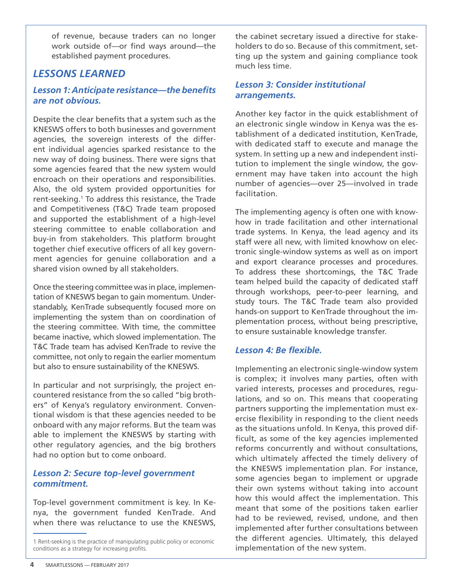of revenue, because traders can no longer work outside of—or find ways around—the established payment procedures.

# *LESSONS LEARNED*

# *Lesson 1: Anticipate resistance—the benefits are not obvious.*

Despite the clear benefits that a system such as the KNESWS offers to both businesses and government agencies, the sovereign interests of the different individual agencies sparked resistance to the new way of doing business. There were signs that some agencies feared that the new system would encroach on their operations and responsibilities. Also, the old system provided opportunities for rent-seeking.<sup>1</sup> To address this resistance, the Trade and Competitiveness (T&C) Trade team proposed and supported the establishment of a high-level steering committee to enable collaboration and buy-in from stakeholders. This platform brought together chief executive officers of all key government agencies for genuine collaboration and a shared vision owned by all stakeholders.

Once the steering committee was in place, implementation of KNESWS began to gain momentum. Understandably, KenTrade subsequently focused more on implementing the system than on coordination of the steering committee. With time, the committee became inactive, which slowed implementation. The T&C Trade team has advised KenTrade to revive the committee, not only to regain the earlier momentum but also to ensure sustainability of the KNESWS.

In particular and not surprisingly, the project encountered resistance from the so called "big brothers" of Kenya's regulatory environment. Conventional wisdom is that these agencies needed to be onboard with any major reforms. But the team was able to implement the KNESWS by starting with other regulatory agencies, and the big brothers had no option but to come onboard.

# *Lesson 2: Secure top-level government commitment.*

Top-level government commitment is key. In Kenya, the government funded KenTrade. And when there was reluctance to use the KNESWS, the cabinet secretary issued a directive for stakeholders to do so. Because of this commitment, setting up the system and gaining compliance took much less time.

### *Lesson 3: Consider institutional arrangements.*

Another key factor in the quick establishment of an electronic single window in Kenya was the establishment of a dedicated institution, KenTrade, with dedicated staff to execute and manage the system. In setting up a new and independent institution to implement the single window, the government may have taken into account the high number of agencies—over 25—involved in trade facilitation.

The implementing agency is often one with knowhow in trade facilitation and other international trade systems. In Kenya, the lead agency and its staff were all new, with limited knowhow on electronic single-window systems as well as on import and export clearance processes and procedures. To address these shortcomings, the T&C Trade team helped build the capacity of dedicated staff through workshops, peer-to-peer learning, and study tours. The T&C Trade team also provided hands-on support to KenTrade throughout the implementation process, without being prescriptive, to ensure sustainable knowledge transfer.

### *Lesson 4: Be flexible.*

Implementing an electronic single-window system is complex; it involves many parties, often with varied interests, processes and procedures, regulations, and so on. This means that cooperating partners supporting the implementation must exercise flexibility in responding to the client needs as the situations unfold. In Kenya, this proved difficult, as some of the key agencies implemented reforms concurrently and without consultations, which ultimately affected the timely delivery of the KNESWS implementation plan. For instance, some agencies began to implement or upgrade their own systems without taking into account how this would affect the implementation. This meant that some of the positions taken earlier had to be reviewed, revised, undone, and then implemented after further consultations between the different agencies. Ultimately, this delayed implementation of the new system.

<sup>1</sup> Rent-seeking is the practice of manipulating public policy or economic conditions as a strategy for increasing profits.